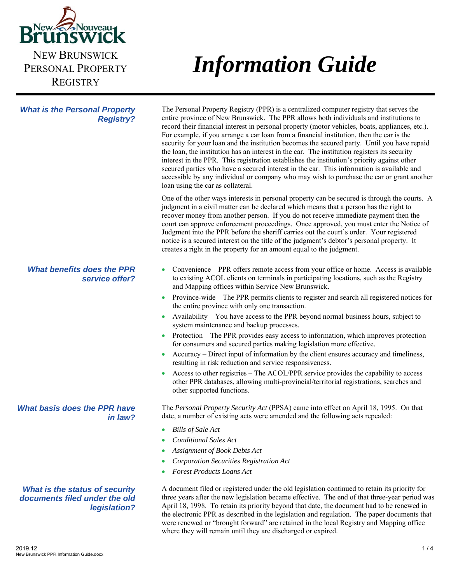

PERSONAL PROPERTY **REGISTRY** 

*What is the Personal Property* 

*Registry?* 

# *Information Guide*

#### The Personal Property Registry (PPR) is a centralized computer registry that serves the entire province of New Brunswick. The PPR allows both individuals and institutions to record their financial interest in personal property (motor vehicles, boats, appliances, etc.). For example, if you arrange a car loan from a financial institution, then the car is the security for your loan and the institution becomes the secured party. Until you have repaid the loan, the institution has an interest in the car. The institution registers its security interest in the PPR. This registration establishes the institution's priority against other secured parties who have a secured interest in the car. This information is available and accessible by any individual or company who may wish to purchase the car or grant another loan using the car as collateral.

One of the other ways interests in personal property can be secured is through the courts. A judgment in a civil matter can be declared which means that a person has the right to recover money from another person. If you do not receive immediate payment then the court can approve enforcement proceedings. Once approved, you must enter the Notice of Judgment into the PPR before the sheriff carries out the court's order. Your registered notice is a secured interest on the title of the judgment's debtor's personal property. It creates a right in the property for an amount equal to the judgment.

- Convenience PPR offers remote access from your office or home. Access is available to existing ACOL clients on terminals in participating locations, such as the Registry and Mapping offices within Service New Brunswick.
- Province-wide The PPR permits clients to register and search all registered notices for the entire province with only one transaction.
- Availability You have access to the PPR beyond normal business hours, subject to system maintenance and backup processes.
- Protection The PPR provides easy access to information, which improves protection for consumers and secured parties making legislation more effective.
- Accuracy Direct input of information by the client ensures accuracy and timeliness, resulting in risk reduction and service responsiveness.
- Access to other registries The ACOL/PPR service provides the capability to access other PPR databases, allowing multi-provincial/territorial registrations, searches and other supported functions.

The *Personal Property Security Act* (PPSA) came into effect on April 18, 1995. On that date, a number of existing acts were amended and the following acts repealed:

- *Bills of Sale Act*
- *Conditional Sales Act*
- *Assignment of Book Debts Act*
- *Corporation Securities Registration Act*
- *Forest Products Loans Act*

A document filed or registered under the old legislation continued to retain its priority for three years after the new legislation became effective. The end of that three-year period was April 18, 1998. To retain its priority beyond that date, the document had to be renewed in the electronic PPR as described in the legislation and regulation. The paper documents that were renewed or "brought forward" are retained in the local Registry and Mapping office where they will remain until they are discharged or expired.

# *What benefits does the PPR service offer?*

## *What basis does the PPR have in law?*

# *What is the status of security documents filed under the old legislation?*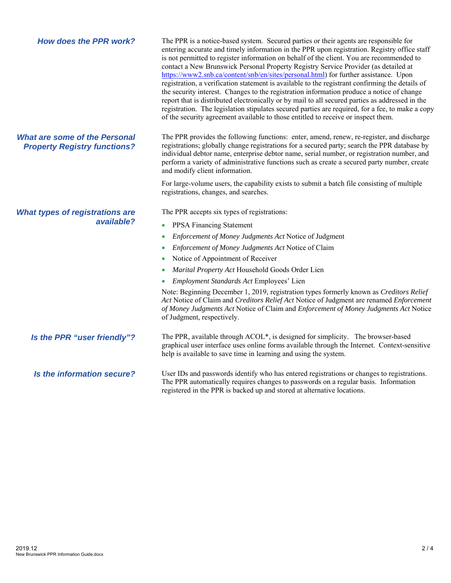| <b>How does the PPR work?</b>                                               | The PPR is a notice-based system. Secured parties or their agents are responsible for<br>entering accurate and timely information in the PPR upon registration. Registry office staff<br>is not permitted to register information on behalf of the client. You are recommended to<br>contact a New Brunswick Personal Property Registry Service Provider (as detailed at<br>https://www2.snb.ca/content/snb/en/sites/personal.html) for further assistance. Upon<br>registration, a verification statement is available to the registrant confirming the details of<br>the security interest. Changes to the registration information produce a notice of change<br>report that is distributed electronically or by mail to all secured parties as addressed in the<br>registration. The legislation stipulates secured parties are required, for a fee, to make a copy<br>of the security agreement available to those entitled to receive or inspect them. |
|-----------------------------------------------------------------------------|--------------------------------------------------------------------------------------------------------------------------------------------------------------------------------------------------------------------------------------------------------------------------------------------------------------------------------------------------------------------------------------------------------------------------------------------------------------------------------------------------------------------------------------------------------------------------------------------------------------------------------------------------------------------------------------------------------------------------------------------------------------------------------------------------------------------------------------------------------------------------------------------------------------------------------------------------------------|
| <b>What are some of the Personal</b><br><b>Property Registry functions?</b> | The PPR provides the following functions: enter, amend, renew, re-register, and discharge<br>registrations; globally change registrations for a secured party; search the PPR database by<br>individual debtor name, enterprise debtor name, serial number, or registration number, and<br>perform a variety of administrative functions such as create a secured party number, create<br>and modify client information.                                                                                                                                                                                                                                                                                                                                                                                                                                                                                                                                     |
|                                                                             | For large-volume users, the capability exists to submit a batch file consisting of multiple<br>registrations, changes, and searches.                                                                                                                                                                                                                                                                                                                                                                                                                                                                                                                                                                                                                                                                                                                                                                                                                         |
| <b>What types of registrations are</b><br>available?                        | The PPR accepts six types of registrations:<br><b>PPSA Financing Statement</b><br>$\bullet$<br>Enforcement of Money Judgments Act Notice of Judgment<br>$\bullet$<br>Enforcement of Money Judgments Act Notice of Claim<br>$\bullet$<br>Notice of Appointment of Receiver<br>۰                                                                                                                                                                                                                                                                                                                                                                                                                                                                                                                                                                                                                                                                               |
|                                                                             | Marital Property Act Household Goods Order Lien<br>$\bullet$<br>Employment Standards Act Employees' Lien<br>Note: Beginning December 1, 2019, registration types formerly known as Creditors Relief<br>Act Notice of Claim and Creditors Relief Act Notice of Judgment are renamed Enforcement<br>of Money Judgments Act Notice of Claim and Enforcement of Money Judgments Act Notice<br>of Judgment, respectively.                                                                                                                                                                                                                                                                                                                                                                                                                                                                                                                                         |
| Is the PPR "user friendly"?                                                 | The PPR, available through ACOL*, is designed for simplicity. The browser-based<br>graphical user interface uses online forms available through the Internet. Context-sensitive<br>help is available to save time in learning and using the system.                                                                                                                                                                                                                                                                                                                                                                                                                                                                                                                                                                                                                                                                                                          |
| Is the information secure?                                                  | User IDs and passwords identify who has entered registrations or changes to registrations.                                                                                                                                                                                                                                                                                                                                                                                                                                                                                                                                                                                                                                                                                                                                                                                                                                                                   |

The PPR automatically requires changes to passwords on a regular basis. Information

registered in the PPR is backed up and stored at alternative locations.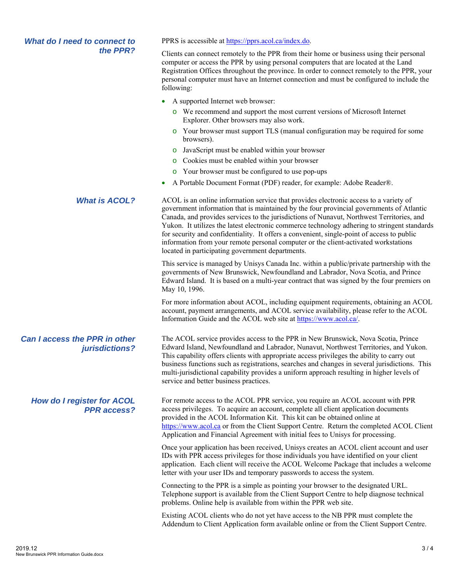### *What do I need to connect to the PPR?*

PPRS is accessible at https://pprs.acol.ca/index.do.

Clients can connect remotely to the PPR from their home or business using their personal computer or access the PPR by using personal computers that are located at the Land Registration Offices throughout the province. In order to connect remotely to the PPR, your personal computer must have an Internet connection and must be configured to include the following:

- A supported Internet web browser:
	- o We recommend and support the most current versions of Microsoft Internet Explorer. Other browsers may also work.
	- o Your browser must support TLS (manual configuration may be required for some browsers).
	- o JavaScript must be enabled within your browser
	- o Cookies must be enabled within your browser
	- o Your browser must be configured to use pop-ups
- A Portable Document Format (PDF) reader, for example: Adobe Reader®.

*What is ACOL?* ACOL is an online information service that provides electronic access to a variety of government information that is maintained by the four provincial governments of Atlantic Canada, and provides services to the jurisdictions of Nunavut, Northwest Territories, and Yukon. It utilizes the latest electronic commerce technology adhering to stringent standards for security and confidentiality. It offers a convenient, single-point of access to public information from your remote personal computer or the client-activated workstations located in participating government departments.

> This service is managed by Unisys Canada Inc. within a public/private partnership with the governments of New Brunswick, Newfoundland and Labrador, Nova Scotia, and Prince Edward Island. It is based on a multi-year contract that was signed by the four premiers on May 10, 1996.

> For more information about ACOL, including equipment requirements, obtaining an ACOL account, payment arrangements, and ACOL service availability, please refer to the ACOL Information Guide and the ACOL web site at https://www.acol.ca/.

The ACOL service provides access to the PPR in New Brunswick, Nova Scotia, Prince Edward Island, Newfoundland and Labrador, Nunavut, Northwest Territories, and Yukon. This capability offers clients with appropriate access privileges the ability to carry out business functions such as registrations, searches and changes in several jurisdictions. This multi-jurisdictional capability provides a uniform approach resulting in higher levels of service and better business practices.

For remote access to the ACOL PPR service, you require an ACOL account with PPR access privileges. To acquire an account, complete all client application documents provided in the ACOL Information Kit. This kit can be obtained online at https://www.acol.ca or from the Client Support Centre. Return the completed ACOL Client Application and Financial Agreement with initial fees to Unisys for processing.

Once your application has been received, Unisys creates an ACOL client account and user IDs with PPR access privileges for those individuals you have identified on your client application. Each client will receive the ACOL Welcome Package that includes a welcome letter with your user IDs and temporary passwords to access the system.

Connecting to the PPR is a simple as pointing your browser to the designated URL. Telephone support is available from the Client Support Centre to help diagnose technical problems. Online help is available from within the PPR web site.

Existing ACOL clients who do not yet have access to the NB PPR must complete the Addendum to Client Application form available online or from the Client Support Centre.

# *Can I access the PPR in other jurisdictions?*

*How do I register for ACOL PPR access?*